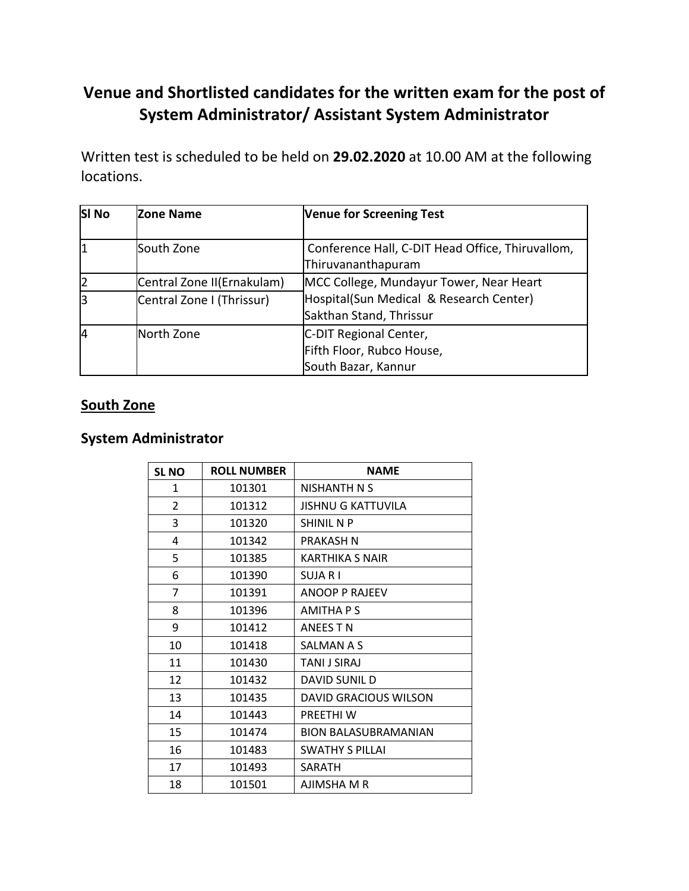# **Venue and Shortlisted candidates for the written exam for the post of System Administrator/ Assistant System Administrator**

Written test is scheduled to be held on **29.02.2020** at 10.00 AM at the following locations.

| <b>SI No</b> | Zone Name                  | <b>Venue for Screening Test</b>                                            |
|--------------|----------------------------|----------------------------------------------------------------------------|
| 1            | South Zone                 | Conference Hall, C-DIT Head Office, Thiruvallom,<br>Thiruvananthapuram     |
| 2            | Central Zone II(Ernakulam) | MCC College, Mundayur Tower, Near Heart                                    |
| 3            | Central Zone I (Thrissur)  | Hospital(Sun Medical & Research Center)<br>Sakthan Stand, Thrissur         |
| 4            | North Zone                 | C-DIT Regional Center,<br>Fifth Floor, Rubco House,<br>South Bazar, Kannur |

#### **South Zone**

#### **System Administrator**

| <b>SL NO</b> | <b>ROLL NUMBER</b> | <b>NAME</b>               |
|--------------|--------------------|---------------------------|
| 1            | 101301             | NISHANTH N S              |
| 2            | 101312             | <b>JISHNU G KATTUVILA</b> |
| 3            | 101320             | <b>SHINIL N P</b>         |
| 4            | 101342             | PRAKASH N                 |
| 5            | 101385             | <b>KARTHIKA S NAIR</b>    |
| 6            | 101390             | SUJA R I                  |
| 7            | 101391             | ANOOP P RAJEEV            |
| 8            | 101396             | AMITHA P S                |
| 9            | 101412             | ANEES T N                 |
| 10           | 101418             | SALMAN A S                |
| 11           | 101430             | TANI J SIRAJ              |
| 12           | 101432             | DAVID SUNIL D             |
| 13           | 101435             | DAVID GRACIOUS WILSON     |
| 14           | 101443             | PREETHI W                 |
| 15           | 101474             | BION BALASUBRAMANIAN      |
| 16           | 101483             | <b>SWATHY S PILLAI</b>    |
| 17           | 101493             | SARATH                    |
| 18           | 101501             | AJIMSHA M R               |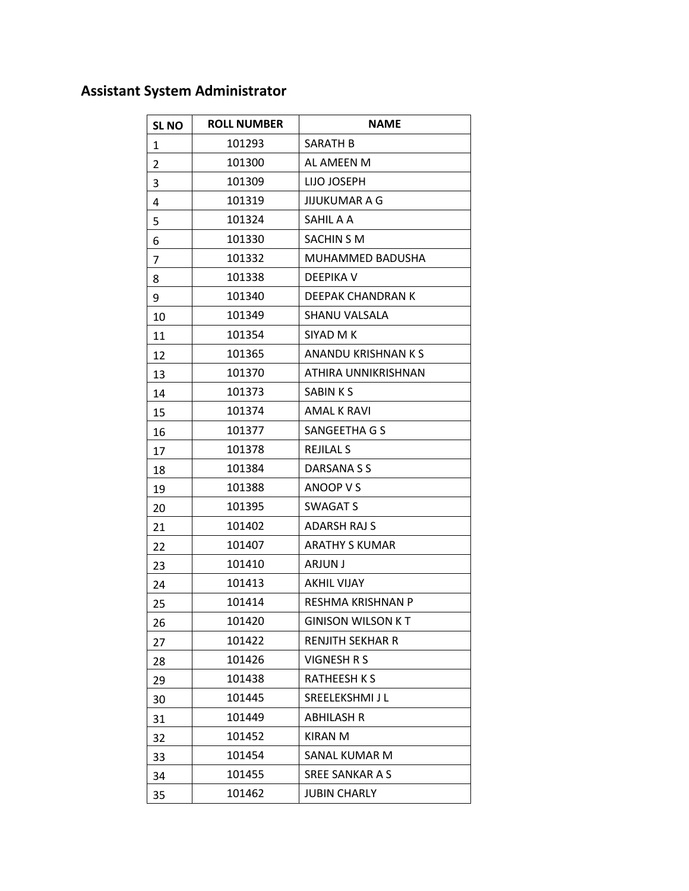| <b>SL NO</b> | <b>ROLL NUMBER</b> | <b>NAME</b>              |
|--------------|--------------------|--------------------------|
| $\mathbf{1}$ | 101293             | SARATH B                 |
| 2            | 101300             | AL AMEEN M               |
| 3            | 101309             | LIJO JOSEPH              |
| 4            | 101319             | JIJUKUMAR A G            |
| 5            | 101324             | SAHIL A A                |
| 6            | 101330             | SACHIN S M               |
| 7            | 101332             | MUHAMMED BADUSHA         |
| 8            | 101338             | DEEPIKA V                |
| 9            | 101340             | DEEPAK CHANDRAN K        |
| 10           | 101349             | <b>SHANU VALSALA</b>     |
| 11           | 101354             | SIYAD M K                |
| 12           | 101365             | ANANDU KRISHNAN K S      |
| 13           | 101370             | ATHIRA UNNIKRISHNAN      |
| 14           | 101373             | SABIN K S                |
| 15           | 101374             | <b>AMAL K RAVI</b>       |
| 16           | 101377             | SANGEETHA G S            |
| 17           | 101378             | <b>REJILAL S</b>         |
| 18           | 101384             | DARSANA S S              |
| 19           | 101388             | ANOOP V S                |
| 20           | 101395             | <b>SWAGAT S</b>          |
| 21           | 101402             | <b>ADARSH RAJ S</b>      |
| 22           | 101407             | <b>ARATHY S KUMAR</b>    |
| 23           | 101410             | ARJUN J                  |
| 24           | 101413             | <b>AKHIL VIJAY</b>       |
| 25           | 101414             | RESHMA KRISHNAN P        |
| 26           | 101420             | <b>GINISON WILSON KT</b> |
| 27           | 101422             | <b>RENJITH SEKHAR R</b>  |
| 28           | 101426             | VIGNESH R S              |
| 29           | 101438             | <b>RATHEESH KS</b>       |
| 30           | 101445             | SREELEKSHMI J L          |
| 31           | 101449             | <b>ABHILASH R</b>        |
| 32           | 101452             | <b>KIRAN M</b>           |
| 33           | 101454             | <b>SANAL KUMAR M</b>     |
| 34           | 101455             | SREE SANKAR A S          |
| 35           | 101462             | <b>JUBIN CHARLY</b>      |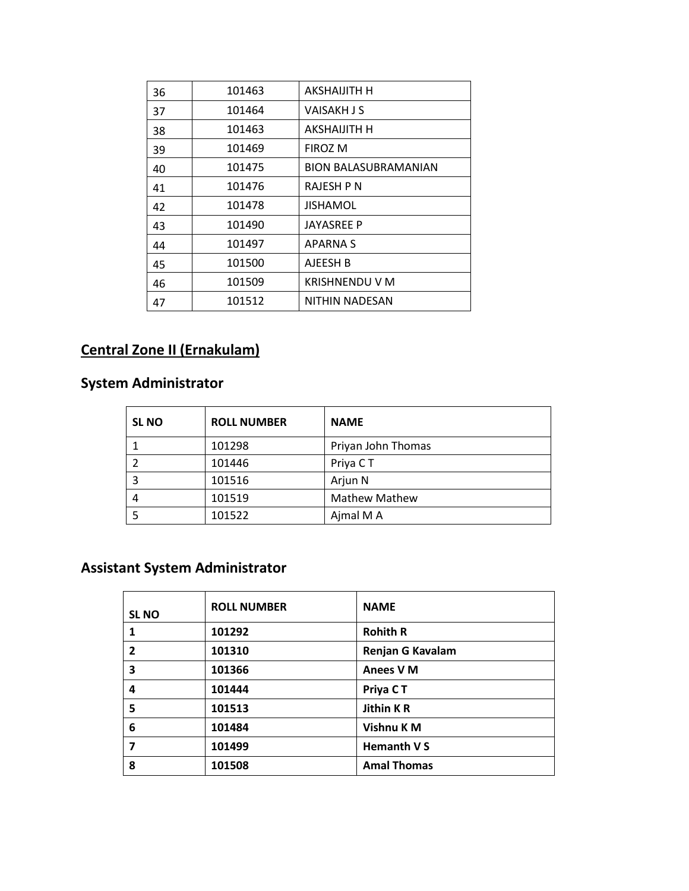| 36 | 101463 | AKSHAIJITH H                |
|----|--------|-----------------------------|
| 37 | 101464 | VAISAKH J S                 |
| 38 | 101463 | AKSHAIJITH H                |
| 39 | 101469 | <b>FIROZ M</b>              |
| 40 | 101475 | <b>BION BALASUBRAMANIAN</b> |
| 41 | 101476 | RAJESH P N                  |
| 42 | 101478 | JISHAMOL                    |
| 43 | 101490 | <b>JAYASREE P</b>           |
| 44 | 101497 | <b>APARNA S</b>             |
| 45 | 101500 | AJEESH B                    |
| 46 | 101509 | <b>KRISHNENDU V M</b>       |
| 47 | 101512 | NITHIN NADESAN              |

# **Central Zone II (Ernakulam)**

## **System Administrator**

| <b>SLNO</b> | <b>ROLL NUMBER</b> | <b>NAME</b>          |
|-------------|--------------------|----------------------|
|             | 101298             | Priyan John Thomas   |
|             | 101446             | Priya CT             |
| 3           | 101516             | Arjun N              |
|             | 101519             | <b>Mathew Mathew</b> |
|             | 101522             | Ajmal M A            |

| <b>SL NO</b> | <b>ROLL NUMBER</b> | <b>NAME</b>             |
|--------------|--------------------|-------------------------|
| 1            | 101292             | <b>Rohith R</b>         |
| 2            | 101310             | <b>Renjan G Kavalam</b> |
| 3            | 101366             | <b>Anees VM</b>         |
| 4            | 101444             | Priya CT                |
| 5            | 101513             | <b>Jithin KR</b>        |
| 6            | 101484             | Vishnu K M              |
| 7            | 101499             | Hemanth V S             |
| 8            | 101508             | <b>Amal Thomas</b>      |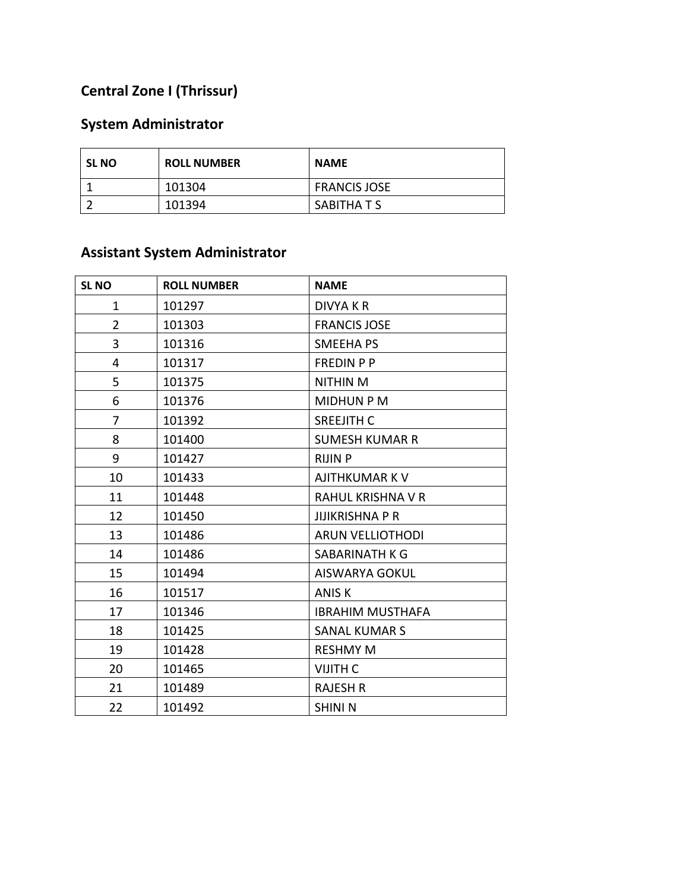## **Central Zone I (Thrissur)**

#### **System Administrator**

| <b>SL NO</b> | <b>ROLL NUMBER</b> | <b>NAME</b>         |
|--------------|--------------------|---------------------|
|              | 101304             | <b>FRANCIS JOSE</b> |
|              | 101394             | SABITHA T S         |

| <b>SL NO</b>   | <b>ROLL NUMBER</b> | <b>NAME</b>             |
|----------------|--------------------|-------------------------|
| $\mathbf{1}$   | 101297             | <b>DIVYA K R</b>        |
| $\overline{2}$ | 101303             | <b>FRANCIS JOSE</b>     |
| 3              | 101316             | <b>SMEEHAPS</b>         |
| 4              | 101317             | <b>FREDIN P P</b>       |
| 5              | 101375             | <b>NITHIN M</b>         |
| 6              | 101376             | <b>MIDHUN P M</b>       |
| $\overline{7}$ | 101392             | <b>SREEJITH C</b>       |
| 8              | 101400             | <b>SUMESH KUMAR R</b>   |
| 9              | 101427             | <b>RIJIN P</b>          |
| 10             | 101433             | <b>AJITHKUMAR K V</b>   |
| 11             | 101448             | RAHUL KRISHNA V R       |
| 12             | 101450             | <b>JIJIKRISHNA P R</b>  |
| 13             | 101486             | <b>ARUN VELLIOTHODI</b> |
| 14             | 101486             | <b>SABARINATH K G</b>   |
| 15             | 101494             | <b>AISWARYA GOKUL</b>   |
| 16             | 101517             | <b>ANISK</b>            |
| 17             | 101346             | <b>IBRAHIM MUSTHAFA</b> |
| 18             | 101425             | <b>SANAL KUMAR S</b>    |
| 19             | 101428             | <b>RESHMY M</b>         |
| 20             | 101465             | <b>VIJITH C</b>         |
| 21             | 101489             | <b>RAJESH R</b>         |
| 22             | 101492             | <b>SHINI N</b>          |